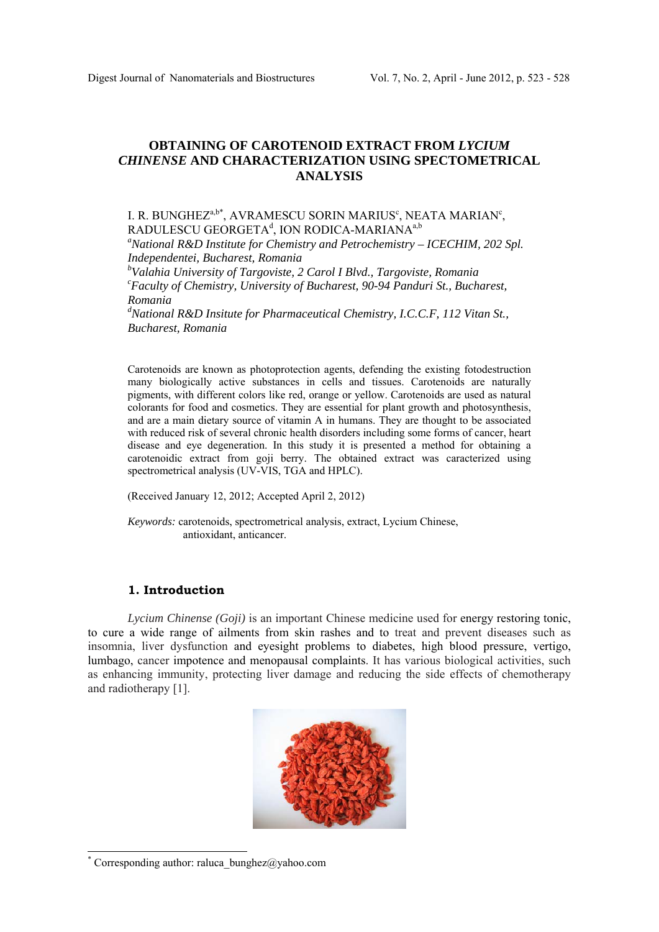# **OBTAINING OF CAROTENOID EXTRACT FROM** *LYCIUM CHINENSE* **AND CHARACTERIZATION USING SPECTOMETRICAL ANALYSIS**

## I. R. BUNGHEZ $a,b^*$ , AVRAMESCU SORIN MARIUS $c$ , NEATA MARIAN $c$ , RADULESCU GEORGETA $^\text{d}$ , ION RODICA-MARIANA $^\text{a,b}$

*a National R&D Institute for Chemistry and Petrochemistry – ICECHIM, 202 Spl. Independentei, Bucharest, Romania* 

*b Valahia University of Targoviste, 2 Carol I Blvd., Targoviste, Romania c Faculty of Chemistry, University of Bucharest, 90-94 Panduri St., Bucharest, Romania* 

*d National R&D Insitute for Pharmaceutical Chemistry, I.C.C.F, 112 Vitan St., Bucharest, Romania* 

Carotenoids are known as photoprotection agents, defending the existing fotodestruction many biologically active substances in cells and tissues. Carotenoids are naturally pigments, with different colors like red, orange or yellow. Carotenoids are used as natural colorants for food and cosmetics. They are essential for plant growth and photosynthesis, and are a main dietary source of vitamin A in humans. They are thought to be associated with reduced risk of several chronic health disorders including some forms of cancer, heart disease and eye degeneration. In this study it is presented a method for obtaining a carotenoidic extract from goji berry. The obtained extract was caracterized using spectrometrical analysis (UV-VIS, TGA and HPLC).

(Received January 12, 2012; Accepted April 2, 2012)

*Keywords:* carotenoids, spectrometrical analysis, extract, Lycium Chinese, antioxidant, anticancer.

## **1. Introduction**

*Lycium Chinense (Goji)* is an important Chinese medicine used for energy restoring tonic, to cure a wide range of ailments from skin rashes and to treat and prevent diseases such as insomnia, liver dysfunction and eyesight problems to diabetes, high blood pressure, vertigo, lumbago, cancer impotence and menopausal complaints. It has various biological activities, such as enhancing immunity, protecting liver damage and reducing the side effects of chemotherapy and radiotherapy [1].



<sup>\*</sup> Corresponding author: raluca\_bunghez@yahoo.com

l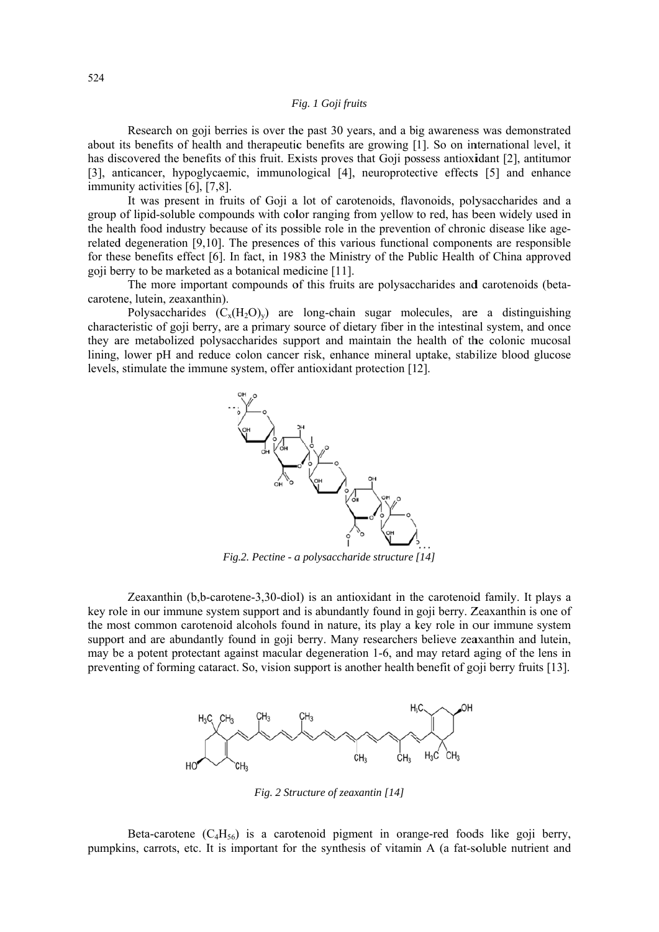## Fig. 1 Goji fruits

Research on goil berries is over the past 30 years, and a big awareness was demonstrated about its benefits of health and therapeutic benefits are growing [1]. So on international level, it has discovered the benefits of this fruit. Exists proves that Goji possess antioxidant [2], antitumor [3], anticancer, hypoglycaemic, immunological [4], neuroprotective effects [5] and enhance immunity activities [6], [7,8].

It was present in fruits of Goji a lot of carotenoids, flavonoids, polysaccharides and a group of lipid-soluble compounds with color ranging from yellow to red, has been widely used in the health food industry because of its possible role in the prevention of chronic disease like agerelated degeneration [9,10]. The presences of this various functional components are responsible for these benefits effect [6]. In fact, in 1983 the Ministry of the Public Health of China approved goji berry to be marketed as a botanical medicine [11].

The more important compounds of this fruits are polysaccharides and carotenoids (betacarotene, lutein, zeaxanthin).

Polysaccharides  $(C_x(H_2O)_y)$  are long-chain sugar molecules, are a distinguishing characteristic of goji berry, are a primary source of dietary fiber in the intestinal system, and once they are metabolized polysaccharides support and maintain the health of the colonic mucosal lining, lower pH and reduce colon cancer risk, enhance mineral uptake, stabilize blood glucose levels, stimulate the immune system, offer antioxidant protection [12].



Fig.2. Pectine - a polysaccharide structure [14]

Zeaxanthin (b,b-carotene-3,30-diol) is an antioxidant in the carotenoid family. It plays a key role in our immune system support and is abundantly found in goji berry. Zeaxanthin is one of the most common carotenoid alcohols found in nature, its play a key role in our immune system support and are abundantly found in goji berry. Many researchers believe zeaxanthin and lutein, may be a potent protectant against macular degeneration 1-6, and may retard aging of the lens in preventing of forming cataract. So, vision support is another health benefit of goil berry fruits [13].



Fig. 2 Structure of zeaxantin [14]

Beta-carotene  $(C_4H_{56})$  is a carotenoid pigment in orange-red foods like goji berry, pumpkins, carrots, etc. It is important for the synthesis of vitamin A (a fat-soluble nutrient and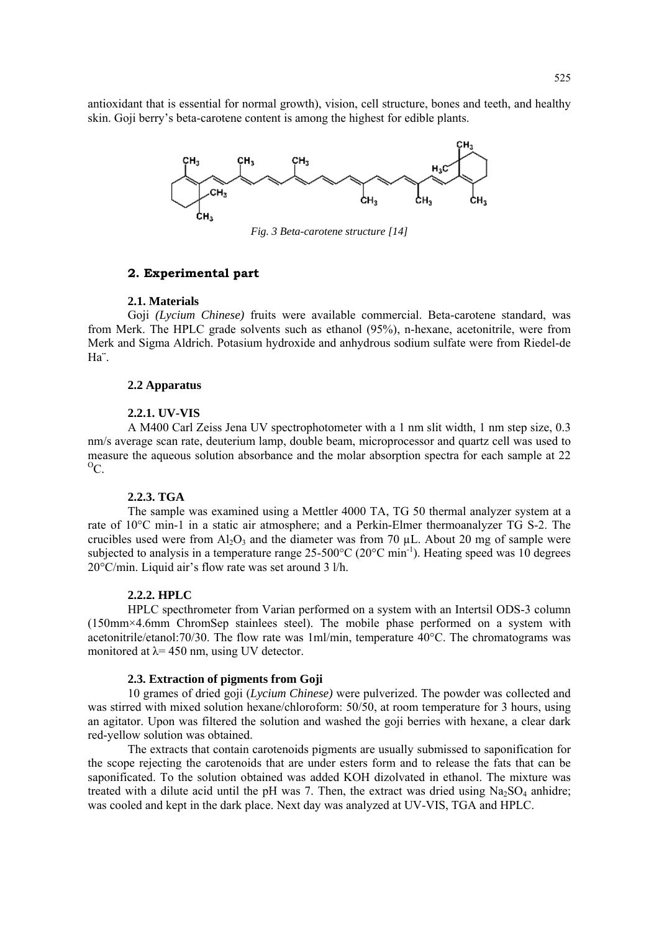antioxidant that is essential for normal growth), vision, cell structure, bones and teeth, and healthy skin. Goji berry's beta-carotene content is among the highest for edible plants.



*Fig. 3 Beta-carotene structure [14]* 

## **2. Experimental part**

#### **2.1. Materials**

Goji *(Lycium Chinese)* fruits were available commercial. Beta-carotene standard, was from Merk. The HPLC grade solvents such as ethanol (95%), n-hexane, acetonitrile, were from Merk and Sigma Aldrich. Potasium hydroxide and anhydrous sodium sulfate were from Riedel-de Ha¨.

#### **2.2 Apparatus**

#### **2.2.1. UV-VIS**

A M400 Carl Zeiss Jena UV spectrophotometer with a 1 nm slit width, 1 nm step size, 0.3 nm/s average scan rate, deuterium lamp, double beam, microprocessor and quartz cell was used to measure the aqueous solution absorbance and the molar absorption spectra for each sample at 22  ${}^{0}C.$ 

#### **2.2.3. TGA**

The sample was examined using a Mettler 4000 TA, TG 50 thermal analyzer system at a rate of 10°C min-1 in a static air atmosphere; and a Perkin-Elmer thermoanalyzer TG S-2. The crucibles used were from  $Al_2O_3$  and the diameter was from 70 µL. About 20 mg of sample were subjected to analysis in a temperature range 25-500°C (20°C min<sup>-1</sup>). Heating speed was 10 degrees 20°C/min. Liquid air's flow rate was set around 3 l/h.

#### **2.2.2. HPLC**

HPLC specthrometer from Varian performed on a system with an Intertsil ODS-3 column (150mm×4.6mm ChromSep stainlees steel). The mobile phase performed on a system with acetonitrile/etanol:70/30. The flow rate was 1ml/min, temperature 40°C. The chromatograms was monitored at  $\lambda$  = 450 nm, using UV detector.

## **2.3. Extraction of pigments from Goji**

10 grames of dried goji (*Lycium Chinese)* were pulverized. The powder was collected and was stirred with mixed solution hexane/chloroform: 50/50, at room temperature for 3 hours, using an agitator. Upon was filtered the solution and washed the goji berries with hexane, a clear dark red-yellow solution was obtained.

The extracts that contain carotenoids pigments are usually submissed to saponification for the scope rejecting the carotenoids that are under esters form and to release the fats that can be saponificated. To the solution obtained was added KOH dizolvated in ethanol. The mixture was treated with a dilute acid until the pH was 7. Then, the extract was dried using  $Na<sub>2</sub>SO<sub>4</sub>$  anhidre; was cooled and kept in the dark place. Next day was analyzed at UV-VIS, TGA and HPLC.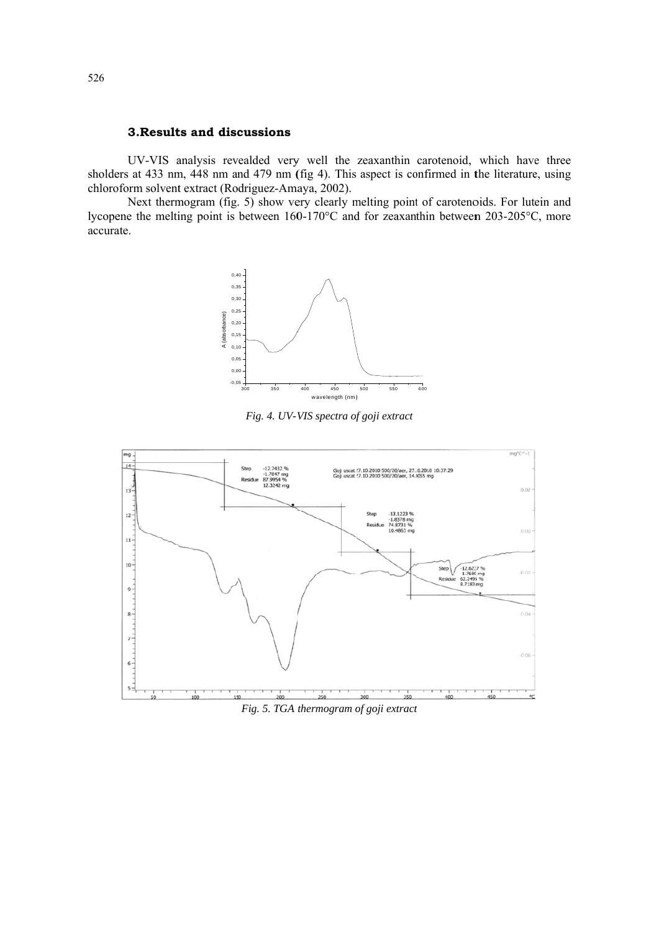## 3. Results and discussions

UV-VIS analysis revealded very well the zeaxanthin carotenoid, which have three sholders at 433 nm, 448 nm and 479 nm (fig 4). This aspect is confirmed in the literature, using chloroform solvent extract (Rodriguez-Amaya, 2002).

Next thermogram (fig. 5) show very clearly melting point of carotenoids. For lutein and lycopene the melting point is between 160-170°C and for zeaxanthin between 203-205°C, more accurate.



Fig. 4. UV-VIS spectra of goji extract



Fig. 5. TGA thermogram of goji extract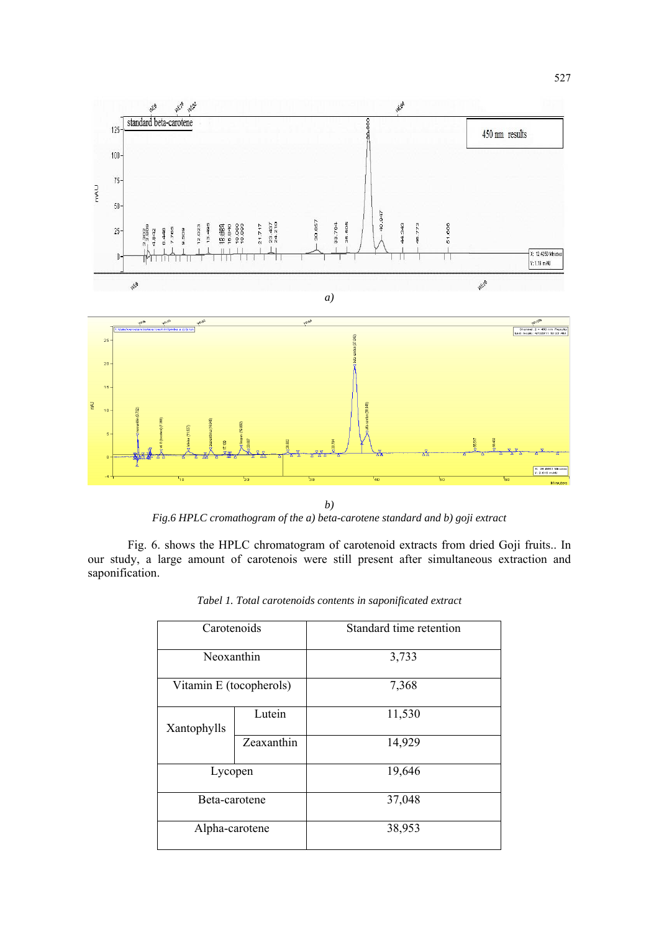

*Fig.6 HPLC cromathogram of the a) beta-carotene standard and b) goji extract* 

Fig. 6. shows the HPLC chromatogram of carotenoid extracts from dried Goji fruits.. In our study, a large amount of carotenois were still present after simultaneous extraction and saponification.

| Carotenoids             |            | Standard time retention |
|-------------------------|------------|-------------------------|
| Neoxanthin              |            | 3,733                   |
| Vitamin E (tocopherols) |            | 7,368                   |
| Xantophylls             | Lutein     | 11,530                  |
|                         | Zeaxanthin | 14,929                  |
| Lycopen                 |            | 19,646                  |
| Beta-carotene           |            | 37,048                  |
| Alpha-carotene          |            | 38,953                  |

*Tabel 1. Total carotenoids contents in saponificated extract*